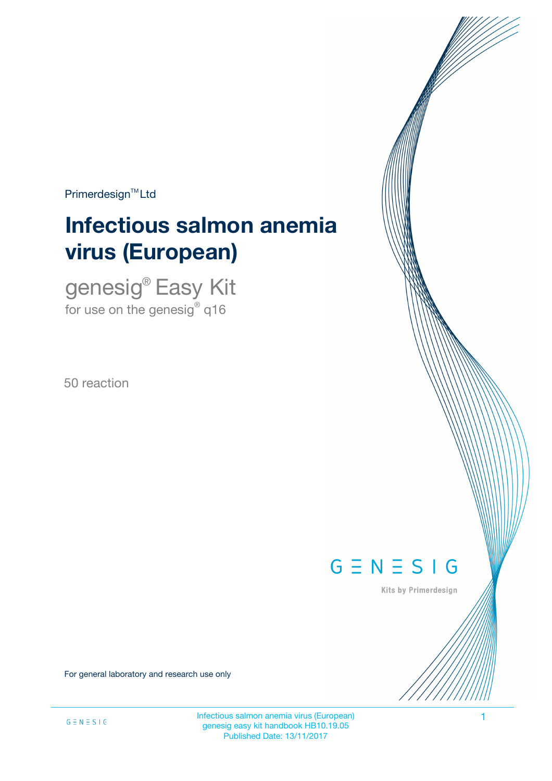$Primerdesign<sup>™</sup>Ltd$ 

# **Infectious salmon anemia virus (European)**

genesig® Easy Kit for use on the genesig $^\circ$  q16

50 reaction



Kits by Primerdesign

For general laboratory and research use only

Infectious salmon anemia virus (European) 1 genesig easy kit handbook HB10.19.05 Published Date: 13/11/2017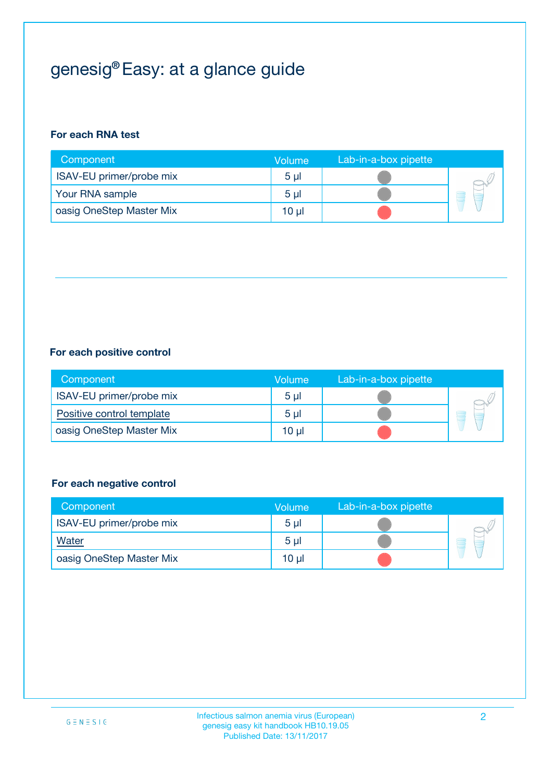## genesig® Easy: at a glance guide

## **For each RNA test**

| Component                | <b>Volume</b>  | Lab-in-a-box pipette |  |
|--------------------------|----------------|----------------------|--|
| ISAV-EU primer/probe mix | 5 <sub>µ</sub> |                      |  |
| Your RNA sample          | 5 <sub>µ</sub> |                      |  |
| oasig OneStep Master Mix | 10 µl          |                      |  |

### **For each positive control**

| Component                 | Volume         | Lab-in-a-box pipette |  |
|---------------------------|----------------|----------------------|--|
| ISAV-EU primer/probe mix  | 5 <sub>µ</sub> |                      |  |
| Positive control template | 5 <sub>µ</sub> |                      |  |
| oasig OneStep Master Mix  | 10 µl          |                      |  |

### **For each negative control**

| Component                | <b>Volume</b>  | Lab-in-a-box pipette |   |
|--------------------------|----------------|----------------------|---|
| ISAV-EU primer/probe mix | 5 <sub>µ</sub> |                      |   |
| <b>Water</b>             | 5 <sub>µ</sub> |                      | E |
| oasig OneStep Master Mix | $10 \mu$       |                      |   |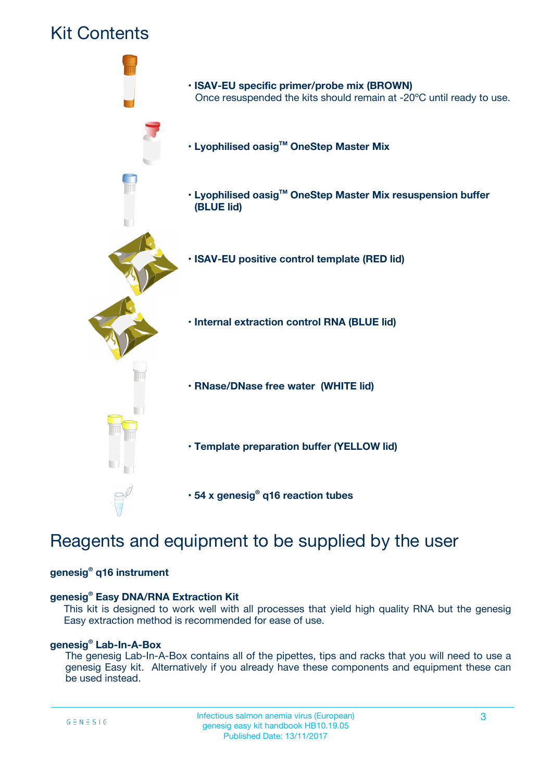

## Reagents and equipment to be supplied by the user

### **genesig® q16 instrument**

### **genesig® Easy DNA/RNA Extraction Kit**

This kit is designed to work well with all processes that yield high quality RNA but the genesig Easy extraction method is recommended for ease of use.

### **genesig® Lab-In-A-Box**

The genesig Lab-In-A-Box contains all of the pipettes, tips and racks that you will need to use a genesig Easy kit. Alternatively if you already have these components and equipment these can be used instead.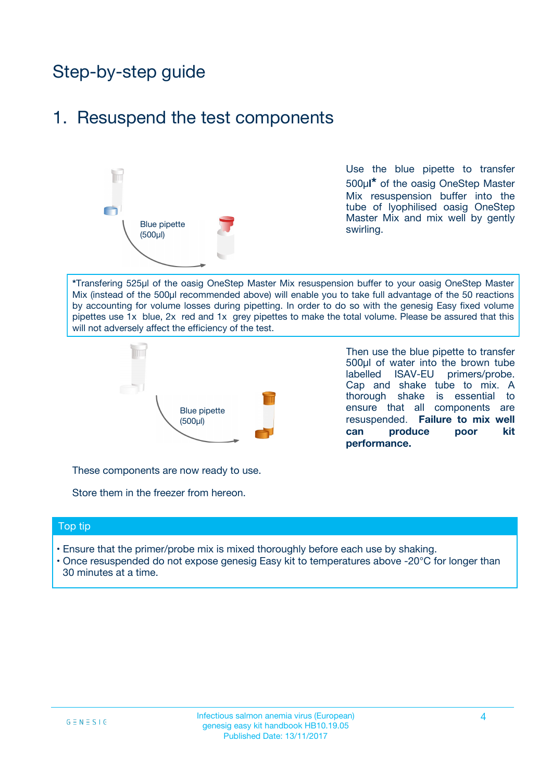## Step-by-step guide

## 1. Resuspend the test components



Use the blue pipette to transfer 500µ**l\*** of the oasig OneStep Master Mix resuspension buffer into the tube of lyophilised oasig OneStep Master Mix and mix well by gently swirling.

**\***Transfering 525µl of the oasig OneStep Master Mix resuspension buffer to your oasig OneStep Master Mix (instead of the 500µl recommended above) will enable you to take full advantage of the 50 reactions by accounting for volume losses during pipetting. In order to do so with the genesig Easy fixed volume pipettes use 1x blue, 2x red and 1x grey pipettes to make the total volume. Please be assured that this will not adversely affect the efficiency of the test.



Then use the blue pipette to transfer 500µl of water into the brown tube labelled ISAV-EU primers/probe. Cap and shake tube to mix. A thorough shake is essential to ensure that all components are resuspended. **Failure to mix well can produce poor kit performance.**

These components are now ready to use.

Store them in the freezer from hereon.

#### Top tip

- Ensure that the primer/probe mix is mixed thoroughly before each use by shaking.
- Once resuspended do not expose genesig Easy kit to temperatures above -20°C for longer than 30 minutes at a time.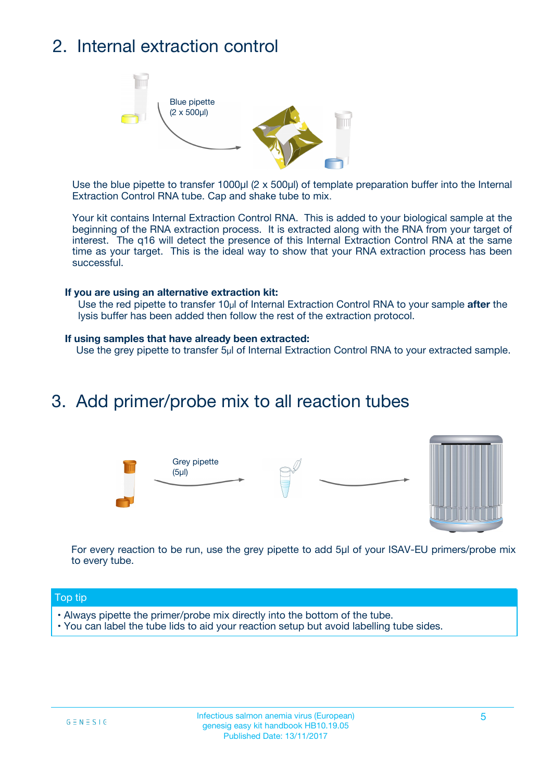## 2. Internal extraction control



Use the blue pipette to transfer 1000µl (2 x 500µl) of template preparation buffer into the Internal Extraction Control RNA tube. Cap and shake tube to mix.

Your kit contains Internal Extraction Control RNA. This is added to your biological sample at the beginning of the RNA extraction process. It is extracted along with the RNA from your target of interest. The q16 will detect the presence of this Internal Extraction Control RNA at the same time as your target. This is the ideal way to show that your RNA extraction process has been successful.

### **If you are using an alternative extraction kit:**

Use the red pipette to transfer 10µl of Internal Extraction Control RNA to your sample **after** the lysis buffer has been added then follow the rest of the extraction protocol.

#### **If using samples that have already been extracted:**

Use the grey pipette to transfer 5µl of Internal Extraction Control RNA to your extracted sample.

## 3. Add primer/probe mix to all reaction tubes





For every reaction to be run, use the grey pipette to add 5µl of your ISAV-EU primers/probe mix to every tube.

### Top tip

- Always pipette the primer/probe mix directly into the bottom of the tube.
- You can label the tube lids to aid your reaction setup but avoid labelling tube sides.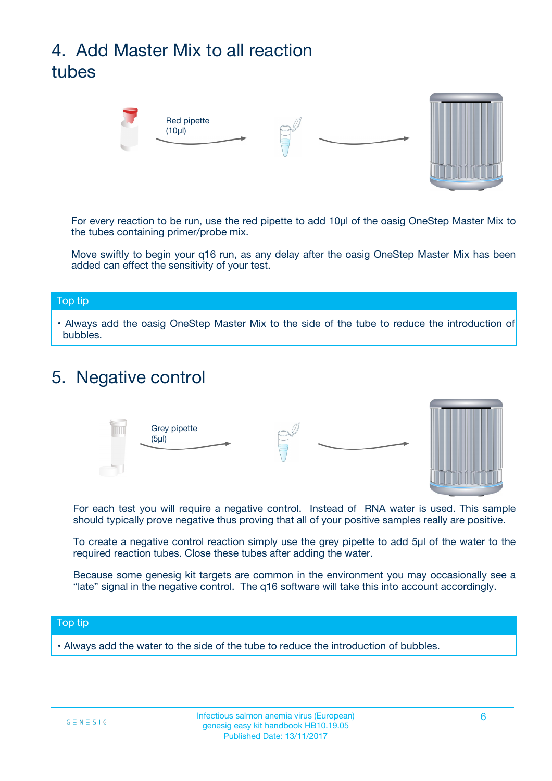## 4. Add Master Mix to all reaction tubes



For every reaction to be run, use the red pipette to add 10µl of the oasig OneStep Master Mix to the tubes containing primer/probe mix.

Move swiftly to begin your q16 run, as any delay after the oasig OneStep Master Mix has been added can effect the sensitivity of your test.

#### Top tip

**•** Always add the oasig OneStep Master Mix to the side of the tube to reduce the introduction of bubbles.

## 5. Negative control



For each test you will require a negative control. Instead of RNA water is used. This sample should typically prove negative thus proving that all of your positive samples really are positive.

To create a negative control reaction simply use the grey pipette to add 5µl of the water to the required reaction tubes. Close these tubes after adding the water.

Because some genesig kit targets are common in the environment you may occasionally see a "late" signal in the negative control. The q16 software will take this into account accordingly.

### Top tip

**•** Always add the water to the side of the tube to reduce the introduction of bubbles.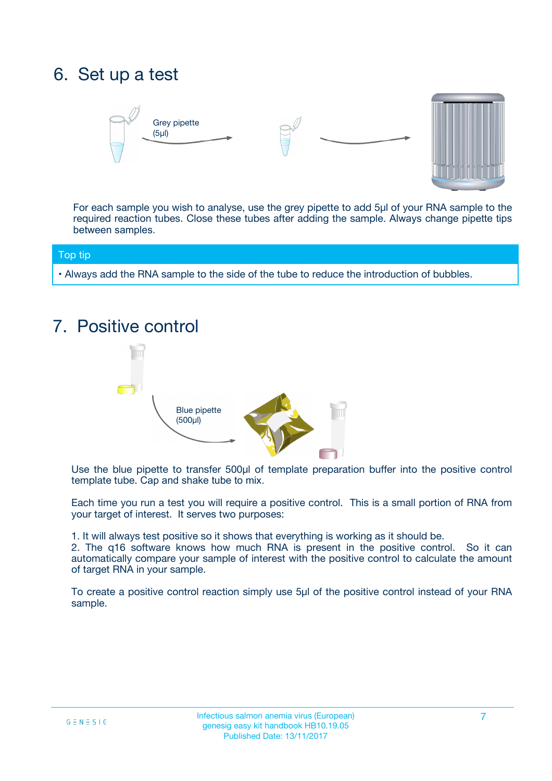## 6. Set up a test





For each sample you wish to analyse, use the grey pipette to add 5µl of your RNA sample to the required reaction tubes. Close these tubes after adding the sample. Always change pipette tips between samples.

#### Top tip

**•** Always add the RNA sample to the side of the tube to reduce the introduction of bubbles.

## 7. Positive control



Use the blue pipette to transfer 500µl of template preparation buffer into the positive control template tube. Cap and shake tube to mix.

Each time you run a test you will require a positive control. This is a small portion of RNA from your target of interest. It serves two purposes:

1. It will always test positive so it shows that everything is working as it should be.

2. The q16 software knows how much RNA is present in the positive control. So it can automatically compare your sample of interest with the positive control to calculate the amount of target RNA in your sample.

To create a positive control reaction simply use 5µl of the positive control instead of your RNA sample.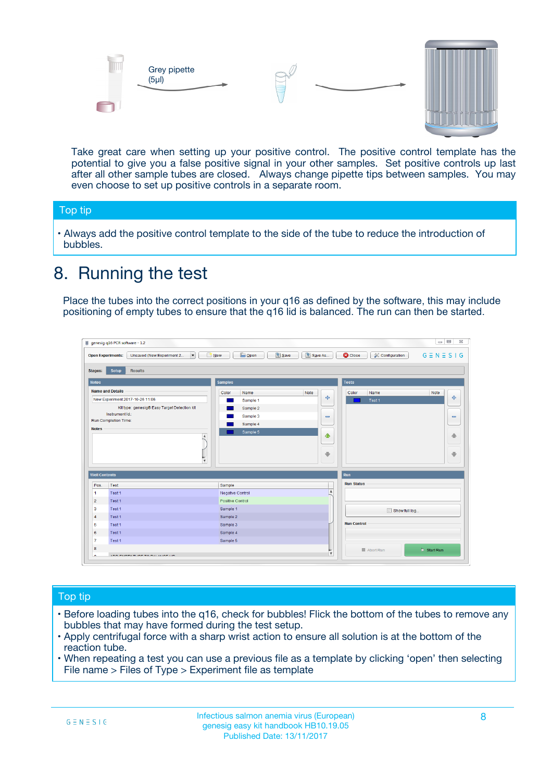



Take great care when setting up your positive control. The positive control template has the potential to give you a false positive signal in your other samples. Set positive controls up last after all other sample tubes are closed. Always change pipette tips between samples. You may even choose to set up positive controls in a separate room.

### Top tip

**•** Always add the positive control template to the side of the tube to reduce the introduction of bubbles.

## 8. Running the test

Place the tubes into the correct positions in your q16 as defined by the software, this may include positioning of empty tubes to ensure that the q16 lid is balanced. The run can then be started.

|                      | genesig q16 PCR software - 1.2                                               |                                                | $= 0$<br>$\Sigma\!3$                                            |
|----------------------|------------------------------------------------------------------------------|------------------------------------------------|-----------------------------------------------------------------|
|                      | $\vert \cdot \vert$<br>Unsaved (New Experiment 2<br><b>Open Experiments:</b> | <b>E</b> Open<br>Save<br>Save As<br>$\Box$ New | <b>C</b> Close<br>$G \equiv N \equiv S \mid G$<br>Configuration |
| <b>Stages:</b>       | Setup<br><b>Results</b>                                                      |                                                |                                                                 |
| <b>Notes</b>         |                                                                              | <b>Samples</b>                                 | <b>Tests</b>                                                    |
|                      | <b>Name and Details</b>                                                      | Color<br>Note<br>Name                          | Name<br>Note<br>Color                                           |
|                      | New Experiment 2017-10-26 11:06                                              | على<br>Sample 1                                | $\ddot{\Phi}$<br>Test 1                                         |
|                      | Kit type: genesig® Easy Target Detection kit                                 | Sample 2                                       |                                                                 |
| Instrument Id.:      |                                                                              | Sample 3<br>$\equiv$                           | $\equiv$                                                        |
|                      | Run Completion Time:                                                         | Sample 4                                       |                                                                 |
| <b>Notes</b>         | $\blacktriangle$                                                             | Sample 5<br>♦                                  | 4                                                               |
|                      | $\overline{\mathbf{v}}$                                                      | ÷                                              | ⊕                                                               |
| <b>Well Contents</b> |                                                                              |                                                | Run                                                             |
| Pos.                 | Test                                                                         | Sample                                         | <b>Run Status</b>                                               |
| $\blacktriangleleft$ | Test 1                                                                       | $\blacktriangle$<br>Negative Control           |                                                                 |
| $\overline{2}$       | Test 1                                                                       | <b>Positive Control</b>                        |                                                                 |
| 3                    | Test 1                                                                       | Sample 1                                       | Show full log                                                   |
| $\overline{4}$       | Test 1                                                                       | Sample 2                                       |                                                                 |
| 5                    | Test 1                                                                       | Sample 3                                       | <b>Run Control</b>                                              |
| 6                    | Test 1                                                                       | Sample 4                                       |                                                                 |
| $\overline{7}$       | Test 1                                                                       | Sample 5                                       |                                                                 |
| 8                    |                                                                              |                                                | $\triangleright$ Start Run<br>Abort Run                         |
|                      | <b>INN FURTY TURE TO BUILDING UP.</b>                                        | $\pmb{\triangledown}$                          |                                                                 |

### Top tip

- Before loading tubes into the q16, check for bubbles! Flick the bottom of the tubes to remove any bubbles that may have formed during the test setup.
- Apply centrifugal force with a sharp wrist action to ensure all solution is at the bottom of the reaction tube.
- When repeating a test you can use a previous file as a template by clicking 'open' then selecting File name > Files of Type > Experiment file as template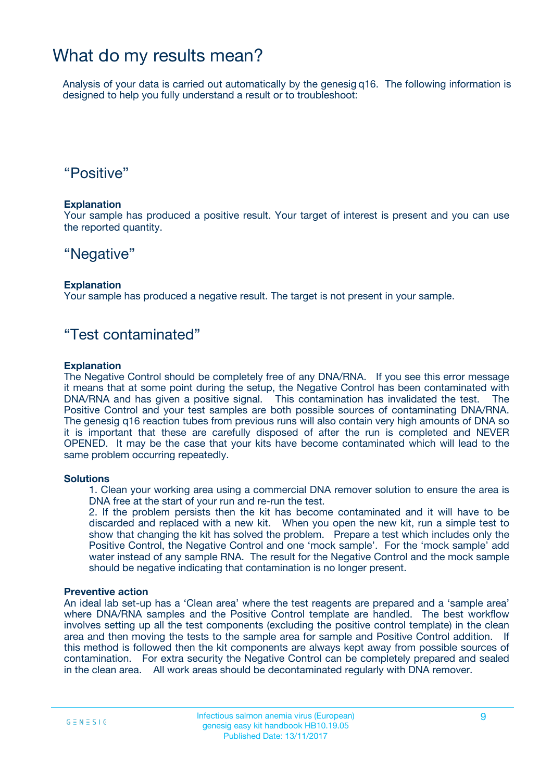## What do my results mean?

Analysis of your data is carried out automatically by the genesig q16. The following information is designed to help you fully understand a result or to troubleshoot:

## "Positive"

### **Explanation**

Your sample has produced a positive result. Your target of interest is present and you can use the reported quantity.

## "Negative"

### **Explanation**

Your sample has produced a negative result. The target is not present in your sample.

## "Test contaminated"

### **Explanation**

The Negative Control should be completely free of any DNA/RNA. If you see this error message it means that at some point during the setup, the Negative Control has been contaminated with DNA/RNA and has given a positive signal. This contamination has invalidated the test. The Positive Control and your test samples are both possible sources of contaminating DNA/RNA. The genesig q16 reaction tubes from previous runs will also contain very high amounts of DNA so it is important that these are carefully disposed of after the run is completed and NEVER OPENED. It may be the case that your kits have become contaminated which will lead to the same problem occurring repeatedly.

### **Solutions**

1. Clean your working area using a commercial DNA remover solution to ensure the area is DNA free at the start of your run and re-run the test.

2. If the problem persists then the kit has become contaminated and it will have to be discarded and replaced with a new kit. When you open the new kit, run a simple test to show that changing the kit has solved the problem. Prepare a test which includes only the Positive Control, the Negative Control and one 'mock sample'. For the 'mock sample' add water instead of any sample RNA. The result for the Negative Control and the mock sample should be negative indicating that contamination is no longer present.

### **Preventive action**

An ideal lab set-up has a 'Clean area' where the test reagents are prepared and a 'sample area' where DNA/RNA samples and the Positive Control template are handled. The best workflow involves setting up all the test components (excluding the positive control template) in the clean area and then moving the tests to the sample area for sample and Positive Control addition. If this method is followed then the kit components are always kept away from possible sources of contamination. For extra security the Negative Control can be completely prepared and sealed in the clean area. All work areas should be decontaminated regularly with DNA remover.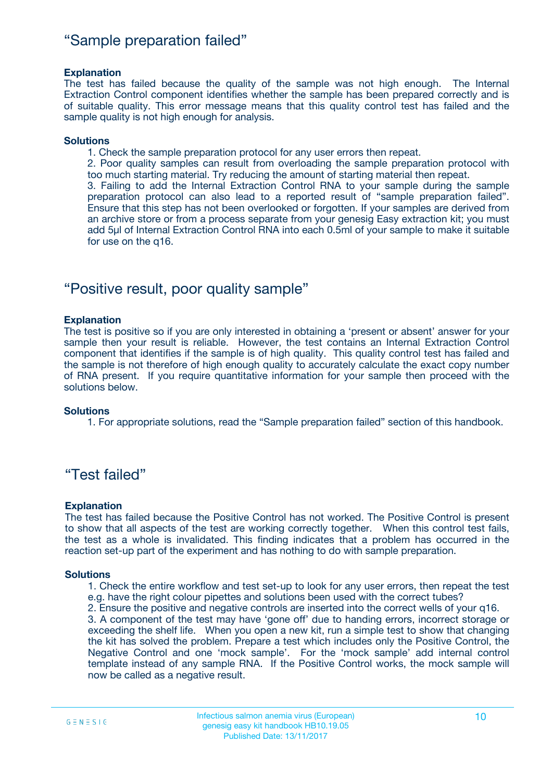## "Sample preparation failed"

### **Explanation**

The test has failed because the quality of the sample was not high enough. The Internal Extraction Control component identifies whether the sample has been prepared correctly and is of suitable quality. This error message means that this quality control test has failed and the sample quality is not high enough for analysis.

### **Solutions**

1. Check the sample preparation protocol for any user errors then repeat.

2. Poor quality samples can result from overloading the sample preparation protocol with too much starting material. Try reducing the amount of starting material then repeat.

3. Failing to add the Internal Extraction Control RNA to your sample during the sample preparation protocol can also lead to a reported result of "sample preparation failed". Ensure that this step has not been overlooked or forgotten. If your samples are derived from an archive store or from a process separate from your genesig Easy extraction kit; you must add 5µl of Internal Extraction Control RNA into each 0.5ml of your sample to make it suitable for use on the q16.

## "Positive result, poor quality sample"

### **Explanation**

The test is positive so if you are only interested in obtaining a 'present or absent' answer for your sample then your result is reliable. However, the test contains an Internal Extraction Control component that identifies if the sample is of high quality. This quality control test has failed and the sample is not therefore of high enough quality to accurately calculate the exact copy number of RNA present. If you require quantitative information for your sample then proceed with the solutions below.

#### **Solutions**

1. For appropriate solutions, read the "Sample preparation failed" section of this handbook.

## "Test failed"

### **Explanation**

The test has failed because the Positive Control has not worked. The Positive Control is present to show that all aspects of the test are working correctly together. When this control test fails, the test as a whole is invalidated. This finding indicates that a problem has occurred in the reaction set-up part of the experiment and has nothing to do with sample preparation.

#### **Solutions**

1. Check the entire workflow and test set-up to look for any user errors, then repeat the test e.g. have the right colour pipettes and solutions been used with the correct tubes?

2. Ensure the positive and negative controls are inserted into the correct wells of your q16.

3. A component of the test may have 'gone off' due to handing errors, incorrect storage or exceeding the shelf life. When you open a new kit, run a simple test to show that changing the kit has solved the problem. Prepare a test which includes only the Positive Control, the Negative Control and one 'mock sample'. For the 'mock sample' add internal control template instead of any sample RNA. If the Positive Control works, the mock sample will now be called as a negative result.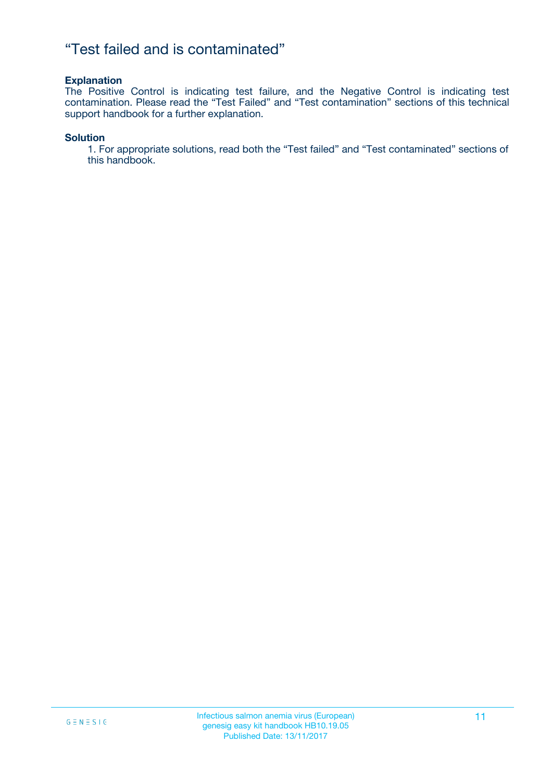## "Test failed and is contaminated"

### **Explanation**

The Positive Control is indicating test failure, and the Negative Control is indicating test contamination. Please read the "Test Failed" and "Test contamination" sections of this technical support handbook for a further explanation.

### **Solution**

1. For appropriate solutions, read both the "Test failed" and "Test contaminated" sections of this handbook.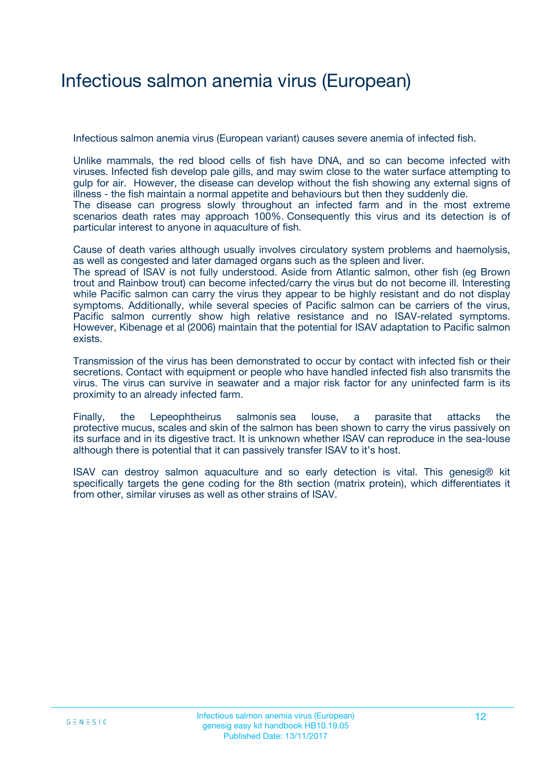## Infectious salmon anemia virus (European)

Infectious salmon anemia virus (European variant) causes severe anemia of infected fish.

Unlike mammals, the red blood cells of fish have DNA, and so can become infected with viruses. Infected fish develop pale gills, and may swim close to the water surface attempting to gulp for air. However, the disease can develop without the fish showing any external signs of illness - the fish maintain a normal appetite and behaviours but then they suddenly die. The disease can progress slowly throughout an infected farm and in the most extreme scenarios death rates may approach 100%. Consequently this virus and its detection is of particular interest to anyone in aquaculture of fish.

Cause of death varies although usually involves circulatory system problems and haemolysis, as well as congested and later damaged organs such as the spleen and liver.

The spread of ISAV is not fully understood. Aside from Atlantic salmon, other fish (eg Brown trout and Rainbow trout) can become infected/carry the virus but do not become ill. Interesting while Pacific salmon can carry the virus they appear to be highly resistant and do not display symptoms. Additionally, while several species of Pacific salmon can be carriers of the virus, Pacific salmon currently show high relative resistance and no ISAV-related symptoms. However, Kibenage et al (2006) maintain that the potential for ISAV adaptation to Pacific salmon exists.

Transmission of the virus has been demonstrated to occur by contact with infected fish or their secretions. Contact with equipment or people who have handled infected fish also transmits the virus. The virus can survive in seawater and a major risk factor for any uninfected farm is its proximity to an already infected farm.

Finally, the Lepeophtheirus salmonis sea louse, a parasite that attacks the protective mucus, scales and skin of the salmon has been shown to carry the virus passively on its surface and in its digestive tract. It is unknown whether ISAV can reproduce in the sea-louse although there is potential that it can passively transfer ISAV to it's host.

ISAV can destroy salmon aquaculture and so early detection is vital. This genesig® kit specifically targets the gene coding for the 8th section (matrix protein), which differentiates it from other, similar viruses as well as other strains of ISAV.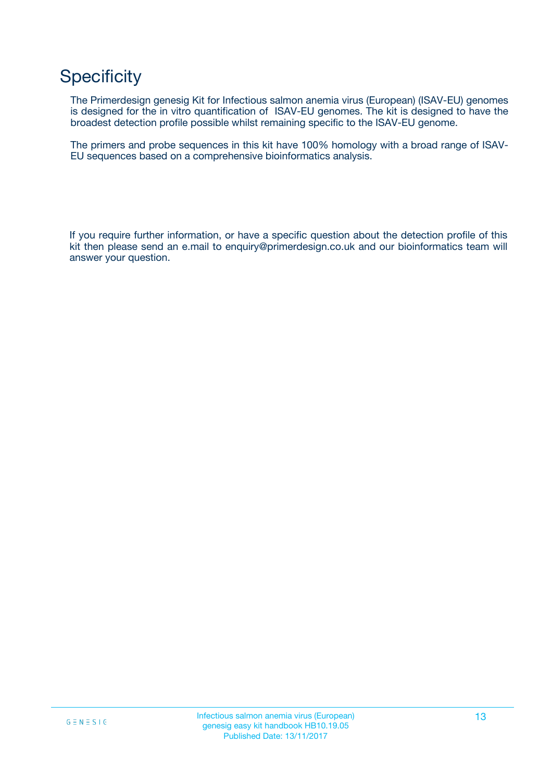## **Specificity**

The Primerdesign genesig Kit for Infectious salmon anemia virus (European) (ISAV-EU) genomes is designed for the in vitro quantification of ISAV-EU genomes. The kit is designed to have the broadest detection profile possible whilst remaining specific to the ISAV-EU genome.

The primers and probe sequences in this kit have 100% homology with a broad range of ISAV-EU sequences based on a comprehensive bioinformatics analysis.

If you require further information, or have a specific question about the detection profile of this kit then please send an e.mail to enquiry@primerdesign.co.uk and our bioinformatics team will answer your question.